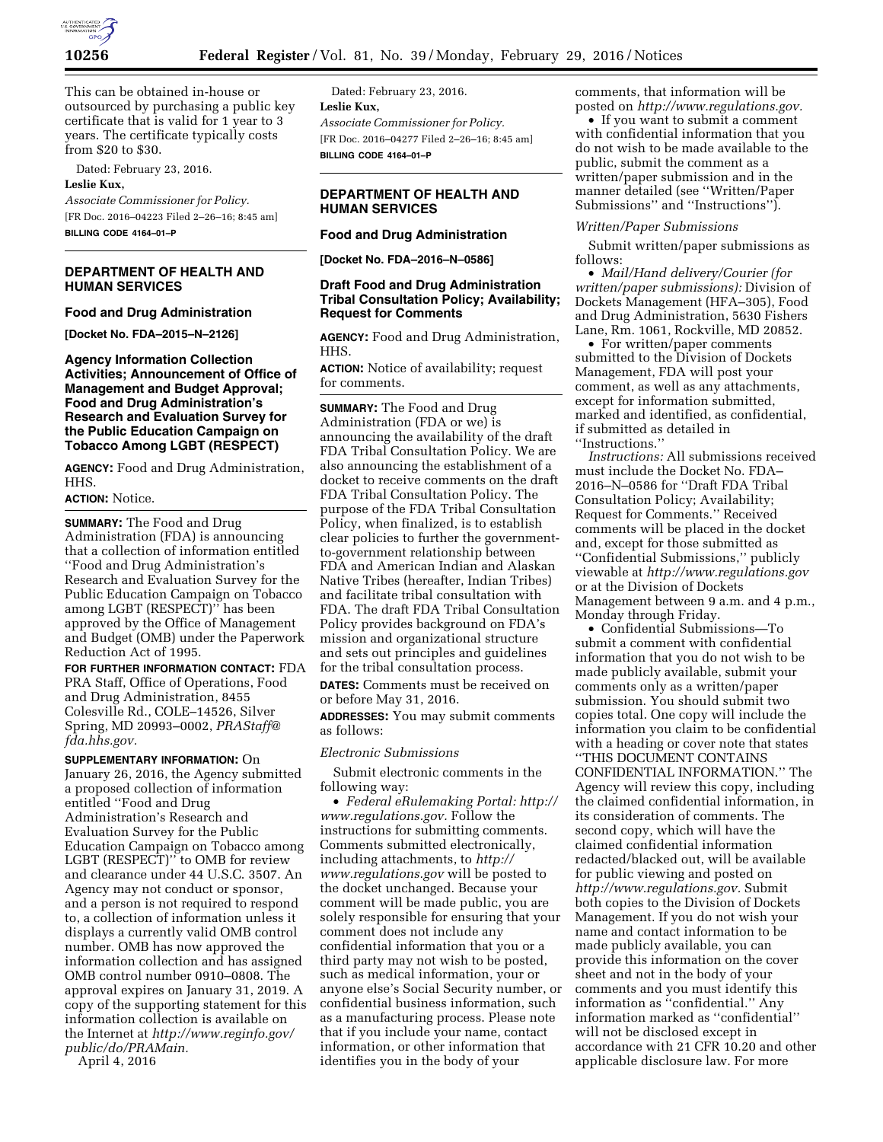

This can be obtained in-house or outsourced by purchasing a public key certificate that is valid for 1 year to 3 years. The certificate typically costs from \$20 to \$30.

Dated: February 23, 2016. **Leslie Kux,** 

*Associate Commissioner for Policy.*  [FR Doc. 2016–04223 Filed 2–26–16; 8:45 am] **BILLING CODE 4164–01–P** 

# **DEPARTMENT OF HEALTH AND HUMAN SERVICES**

#### **Food and Drug Administration**

**[Docket No. FDA–2015–N–2126]** 

**Agency Information Collection Activities; Announcement of Office of Management and Budget Approval; Food and Drug Administration's Research and Evaluation Survey for the Public Education Campaign on Tobacco Among LGBT (RESPECT)** 

**AGENCY:** Food and Drug Administration, HHS.

# **ACTION:** Notice.

**SUMMARY:** The Food and Drug Administration (FDA) is announcing that a collection of information entitled ''Food and Drug Administration's Research and Evaluation Survey for the Public Education Campaign on Tobacco among LGBT (RESPECT)'' has been approved by the Office of Management and Budget (OMB) under the Paperwork Reduction Act of 1995.

**FOR FURTHER INFORMATION CONTACT:** FDA PRA Staff, Office of Operations, Food and Drug Administration, 8455 Colesville Rd., COLE–14526, Silver Spring, MD 20993–0002, *[PRAStaff@](mailto:PRAStaff@fda.hhs.gov) [fda.hhs.gov.](mailto:PRAStaff@fda.hhs.gov)* 

**SUPPLEMENTARY INFORMATION:** On January 26, 2016, the Agency submitted a proposed collection of information entitled ''Food and Drug Administration's Research and Evaluation Survey for the Public Education Campaign on Tobacco among LGBT (RESPECT)'' to OMB for review and clearance under 44 U.S.C. 3507. An Agency may not conduct or sponsor, and a person is not required to respond to, a collection of information unless it displays a currently valid OMB control number. OMB has now approved the information collection and has assigned OMB control number 0910–0808. The approval expires on January 31, 2019. A copy of the supporting statement for this information collection is available on the Internet at *[http://www.reginfo.gov/](http://www.reginfo.gov/public/do/PRAMain) [public/do/PRAMain.](http://www.reginfo.gov/public/do/PRAMain)* 

April 4, 2016

Dated: February 23, 2016. **Leslie Kux,**  *Associate Commissioner for Policy.*  [FR Doc. 2016–04277 Filed 2–26–16; 8:45 am] **BILLING CODE 4164–01–P** 

# **DEPARTMENT OF HEALTH AND HUMAN SERVICES**

# **Food and Drug Administration**

**[Docket No. FDA–2016–N–0586]** 

## **Draft Food and Drug Administration Tribal Consultation Policy; Availability; Request for Comments**

**AGENCY:** Food and Drug Administration, HHS.

**ACTION:** Notice of availability; request for comments.

**SUMMARY:** The Food and Drug Administration (FDA or we) is announcing the availability of the draft FDA Tribal Consultation Policy. We are also announcing the establishment of a docket to receive comments on the draft FDA Tribal Consultation Policy. The purpose of the FDA Tribal Consultation Policy, when finalized, is to establish clear policies to further the governmentto-government relationship between FDA and American Indian and Alaskan Native Tribes (hereafter, Indian Tribes) and facilitate tribal consultation with FDA. The draft FDA Tribal Consultation Policy provides background on FDA's mission and organizational structure and sets out principles and guidelines for the tribal consultation process.

**DATES:** Comments must be received on or before May 31, 2016.

**ADDRESSES:** You may submit comments as follows:

#### *Electronic Submissions*

Submit electronic comments in the following way:

• *Federal eRulemaking Portal: [http://](http://www.regulations.gov)  [www.regulations.gov.](http://www.regulations.gov)* Follow the instructions for submitting comments. Comments submitted electronically, including attachments, to *[http://](http://www.regulations.gov) [www.regulations.gov](http://www.regulations.gov)* will be posted to the docket unchanged. Because your comment will be made public, you are solely responsible for ensuring that your comment does not include any confidential information that you or a third party may not wish to be posted, such as medical information, your or anyone else's Social Security number, or confidential business information, such as a manufacturing process. Please note that if you include your name, contact information, or other information that identifies you in the body of your

comments, that information will be posted on *[http://www.regulations.gov.](http://www.regulations.gov)* 

• If you want to submit a comment with confidential information that you do not wish to be made available to the public, submit the comment as a written/paper submission and in the manner detailed (see ''Written/Paper Submissions'' and ''Instructions'').

### *Written/Paper Submissions*

Submit written/paper submissions as follows:

• *Mail/Hand delivery/Courier (for written/paper submissions):* Division of Dockets Management (HFA–305), Food and Drug Administration, 5630 Fishers Lane, Rm. 1061, Rockville, MD 20852.

• For written/paper comments submitted to the Division of Dockets Management, FDA will post your comment, as well as any attachments, except for information submitted, marked and identified, as confidential, if submitted as detailed in ''Instructions.''

*Instructions:* All submissions received must include the Docket No. FDA– 2016–N–0586 for ''Draft FDA Tribal Consultation Policy; Availability; Request for Comments.'' Received comments will be placed in the docket and, except for those submitted as ''Confidential Submissions,'' publicly viewable at *<http://www.regulations.gov>* or at the Division of Dockets Management between 9 a.m. and 4 p.m., Monday through Friday.

• Confidential Submissions—To submit a comment with confidential information that you do not wish to be made publicly available, submit your comments only as a written/paper submission. You should submit two copies total. One copy will include the information you claim to be confidential with a heading or cover note that states ''THIS DOCUMENT CONTAINS CONFIDENTIAL INFORMATION.'' The Agency will review this copy, including the claimed confidential information, in its consideration of comments. The second copy, which will have the claimed confidential information redacted/blacked out, will be available for public viewing and posted on *[http://www.regulations.gov.](http://www.regulations.gov)* Submit both copies to the Division of Dockets Management. If you do not wish your name and contact information to be made publicly available, you can provide this information on the cover sheet and not in the body of your comments and you must identify this information as ''confidential.'' Any information marked as ''confidential'' will not be disclosed except in accordance with 21 CFR 10.20 and other applicable disclosure law. For more